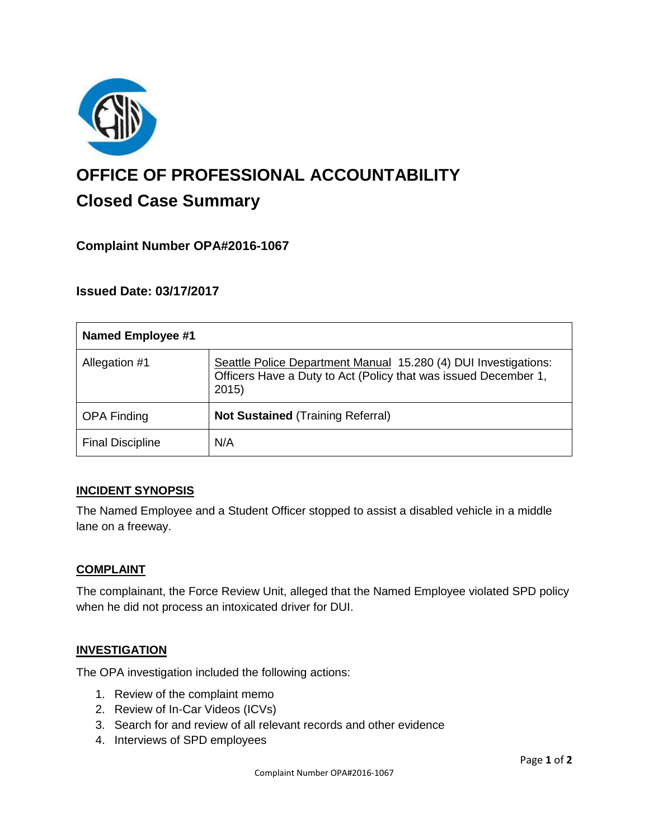

# **OFFICE OF PROFESSIONAL ACCOUNTABILITY Closed Case Summary**

# **Complaint Number OPA#2016-1067**

# **Issued Date: 03/17/2017**

| <b>Named Employee #1</b> |                                                                                                                                            |
|--------------------------|--------------------------------------------------------------------------------------------------------------------------------------------|
| Allegation #1            | Seattle Police Department Manual 15.280 (4) DUI Investigations:<br>Officers Have a Duty to Act (Policy that was issued December 1,<br>2015 |
| <b>OPA Finding</b>       | <b>Not Sustained (Training Referral)</b>                                                                                                   |
| <b>Final Discipline</b>  | N/A                                                                                                                                        |

## **INCIDENT SYNOPSIS**

The Named Employee and a Student Officer stopped to assist a disabled vehicle in a middle lane on a freeway.

#### **COMPLAINT**

The complainant, the Force Review Unit, alleged that the Named Employee violated SPD policy when he did not process an intoxicated driver for DUI.

## **INVESTIGATION**

The OPA investigation included the following actions:

- 1. Review of the complaint memo
- 2. Review of In-Car Videos (ICVs)
- 3. Search for and review of all relevant records and other evidence
- 4. Interviews of SPD employees